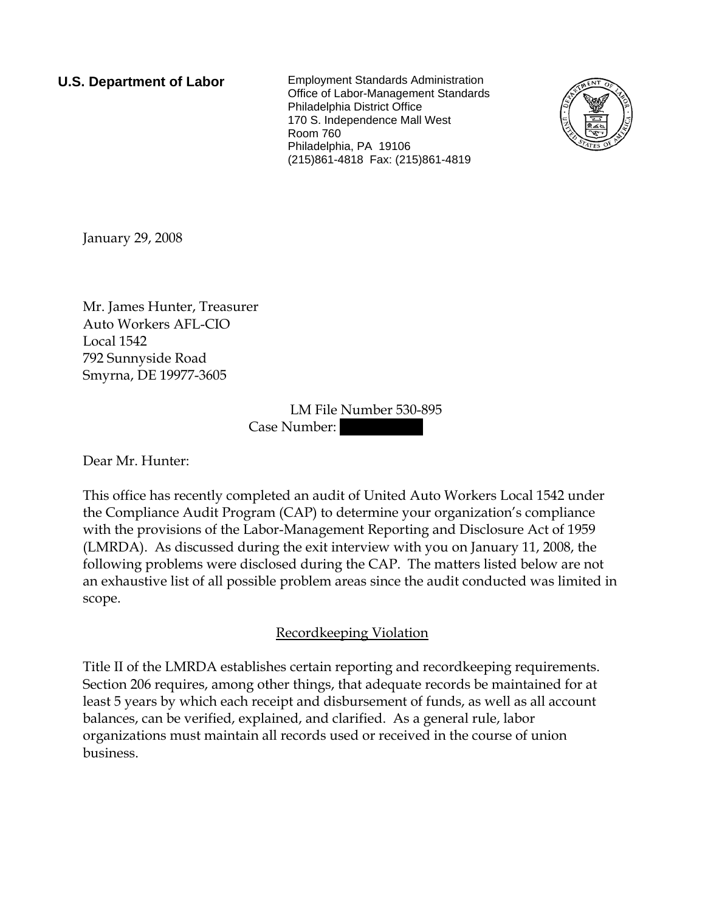**U.S. Department of Labor** Employment Standards Administration Office of Labor-Management Standards Philadelphia District Office 170 S. Independence Mall West Room 760 Philadelphia, PA 19106 (215)861-4818 Fax: (215)861-4819



January 29, 2008

Mr. James Hunter, Treasurer Auto Workers AFL-CIO Local 1542 792 Sunnyside Road Smyrna, DE 19977-3605

> LM File Number 530-895 Case Number:

Dear Mr. Hunter:

This office has recently completed an audit of United Auto Workers Local 1542 under the Compliance Audit Program (CAP) to determine your organization's compliance with the provisions of the Labor-Management Reporting and Disclosure Act of 1959 (LMRDA). As discussed during the exit interview with you on January 11, 2008, the following problems were disclosed during the CAP. The matters listed below are not an exhaustive list of all possible problem areas since the audit conducted was limited in scope.

## Recordkeeping Violation

Title II of the LMRDA establishes certain reporting and recordkeeping requirements. Section 206 requires, among other things, that adequate records be maintained for at least 5 years by which each receipt and disbursement of funds, as well as all account balances, can be verified, explained, and clarified. As a general rule, labor organizations must maintain all records used or received in the course of union business.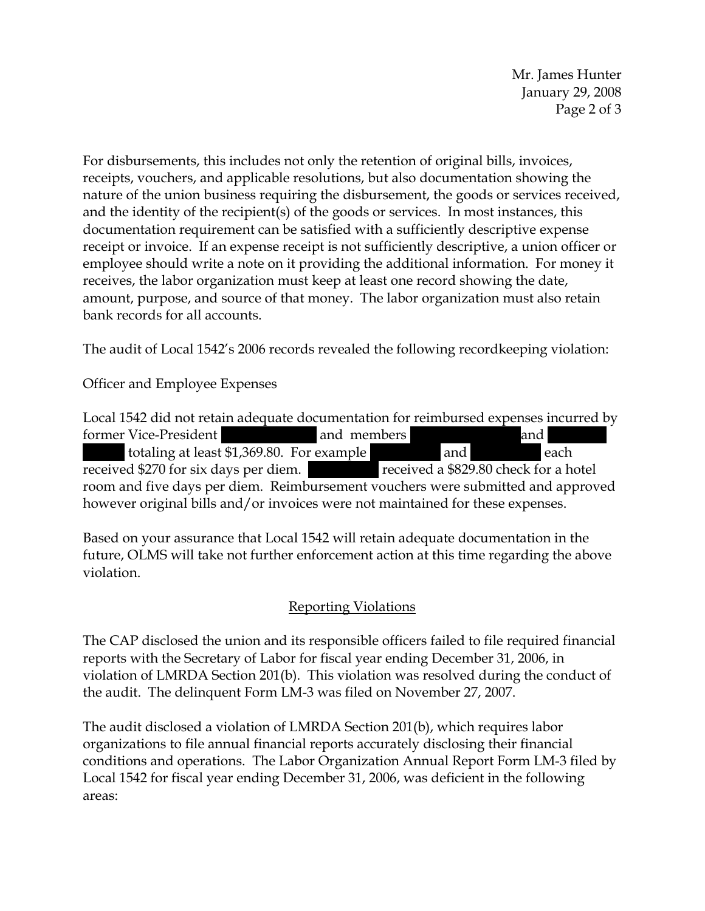Mr. James Hunter January 29, 2008 Page 2 of 3

For disbursements, this includes not only the retention of original bills, invoices, receipts, vouchers, and applicable resolutions, but also documentation showing the nature of the union business requiring the disbursement, the goods or services received, and the identity of the recipient(s) of the goods or services. In most instances, this documentation requirement can be satisfied with a sufficiently descriptive expense receipt or invoice. If an expense receipt is not sufficiently descriptive, a union officer or employee should write a note on it providing the additional information. For money it receives, the labor organization must keep at least one record showing the date, amount, purpose, and source of that money. The labor organization must also retain bank records for all accounts.

The audit of Local 1542's 2006 records revealed the following recordkeeping violation:

Officer and Employee Expenses

Local 1542 did not retain adequate documentation for reimbursed expenses incurred by former Vice-President and members and members and members and  $|$ ||||| totaling at least \$1,369.80. For example ||| ||||| and ||| ||||| each received \$270 for six days per diem. ||| ||||| received a \$829.80 check for a hotel room and five days per diem. Reimbursement vouchers were submitted and approved however original bills and/or invoices were not maintained for these expenses.

Based on your assurance that Local 1542 will retain adequate documentation in the future, OLMS will take not further enforcement action at this time regarding the above violation.

## Reporting Violations

The CAP disclosed the union and its responsible officers failed to file required financial reports with the Secretary of Labor for fiscal year ending December 31, 2006, in violation of LMRDA Section 201(b). This violation was resolved during the conduct of the audit. The delinquent Form LM-3 was filed on November 27, 2007.

The audit disclosed a violation of LMRDA Section 201(b), which requires labor organizations to file annual financial reports accurately disclosing their financial conditions and operations. The Labor Organization Annual Report Form LM-3 filed by Local 1542 for fiscal year ending December 31, 2006, was deficient in the following areas: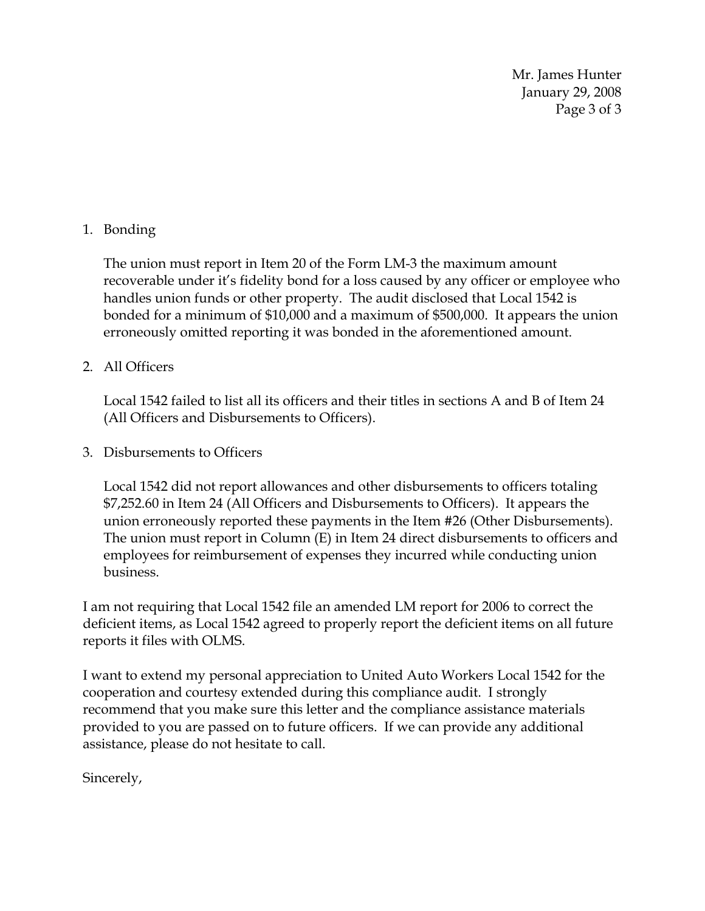Mr. James Hunter January 29, 2008 Page 3 of 3

## 1. Bonding

The union must report in Item 20 of the Form LM-3 the maximum amount recoverable under it's fidelity bond for a loss caused by any officer or employee who handles union funds or other property. The audit disclosed that Local 1542 is bonded for a minimum of \$10,000 and a maximum of \$500,000. It appears the union erroneously omitted reporting it was bonded in the aforementioned amount.

## 2. All Officers

Local 1542 failed to list all its officers and their titles in sections A and B of Item 24 (All Officers and Disbursements to Officers).

3. Disbursements to Officers

Local 1542 did not report allowances and other disbursements to officers totaling \$7,252.60 in Item 24 (All Officers and Disbursements to Officers). It appears the union erroneously reported these payments in the Item #26 (Other Disbursements). The union must report in Column (E) in Item 24 direct disbursements to officers and employees for reimbursement of expenses they incurred while conducting union business.

I am not requiring that Local 1542 file an amended LM report for 2006 to correct the deficient items, as Local 1542 agreed to properly report the deficient items on all future reports it files with OLMS.

I want to extend my personal appreciation to United Auto Workers Local 1542 for the cooperation and courtesy extended during this compliance audit. I strongly recommend that you make sure this letter and the compliance assistance materials provided to you are passed on to future officers. If we can provide any additional assistance, please do not hesitate to call.

Sincerely,